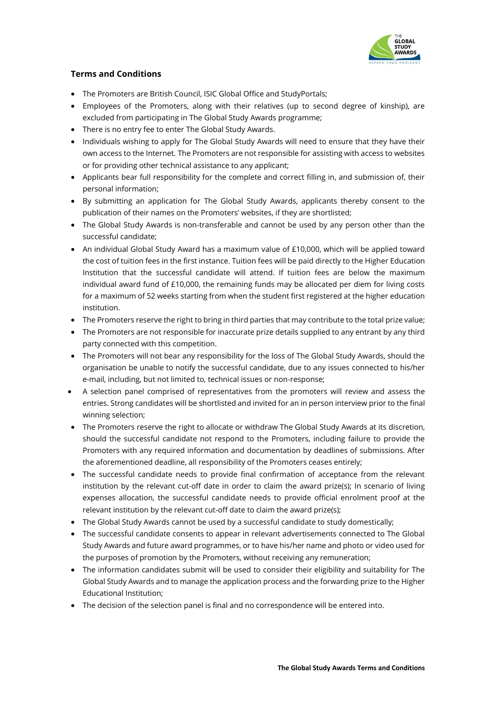

## **Terms and Conditions**

- The Promoters are British Council, ISIC Global Office and StudyPortals;
- Employees of the Promoters, along with their relatives (up to second degree of kinship), are excluded from participating in The Global Study Awards programme;
- There is no entry fee to enter The Global Study Awards.
- Individuals wishing to apply for The Global Study Awards will need to ensure that they have their own access to the Internet. The Promoters are not responsible for assisting with access to websites or for providing other technical assistance to any applicant;
- Applicants bear full responsibility for the complete and correct filling in, and submission of, their personal information;
- By submitting an application for The Global Study Awards, applicants thereby consent to the publication of their names on the Promoters' websites, if they are shortlisted;
- The Global Study Awards is non-transferable and cannot be used by any person other than the successful candidate;
- An individual Global Study Award has a maximum value of £10,000, which will be applied toward the cost of tuition fees in the first instance. Tuition fees will be paid directly to the Higher Education Institution that the successful candidate will attend. If tuition fees are below the maximum individual award fund of £10,000, the remaining funds may be allocated per diem for living costs for a maximum of 52 weeks starting from when the student first registered at the higher education institution.
- The Promoters reserve the right to bring in third parties that may contribute to the total prize value;
- The Promoters are not responsible for inaccurate prize details supplied to any entrant by any third party connected with this competition.
- The Promoters will not bear any responsibility for the loss of The Global Study Awards, should the organisation be unable to notify the successful candidate, due to any issues connected to his/her e-mail, including, but not limited to, technical issues or non-response;
- A selection panel comprised of representatives from the promoters will review and assess the entries. Strong candidates will be shortlisted and invited for an in person interview prior to the final winning selection;
- The Promoters reserve the right to allocate or withdraw The Global Study Awards at its discretion, should the successful candidate not respond to the Promoters, including failure to provide the Promoters with any required information and documentation by deadlines of submissions. After the aforementioned deadline, all responsibility of the Promoters ceases entirely;
- The successful candidate needs to provide final confirmation of acceptance from the relevant institution by the relevant cut-off date in order to claim the award prize(s); In scenario of living expenses allocation, the successful candidate needs to provide official enrolment proof at the relevant institution by the relevant cut-off date to claim the award prize(s);
- The Global Study Awards cannot be used by a successful candidate to study domestically;
- The successful candidate consents to appear in relevant advertisements connected to The Global Study Awards and future award programmes, or to have his/her name and photo or video used for the purposes of promotion by the Promoters, without receiving any remuneration;
- The information candidates submit will be used to consider their eligibility and suitability for The Global Study Awards and to manage the application process and the forwarding prize to the Higher Educational Institution;
- The decision of the selection panel is final and no correspondence will be entered into.